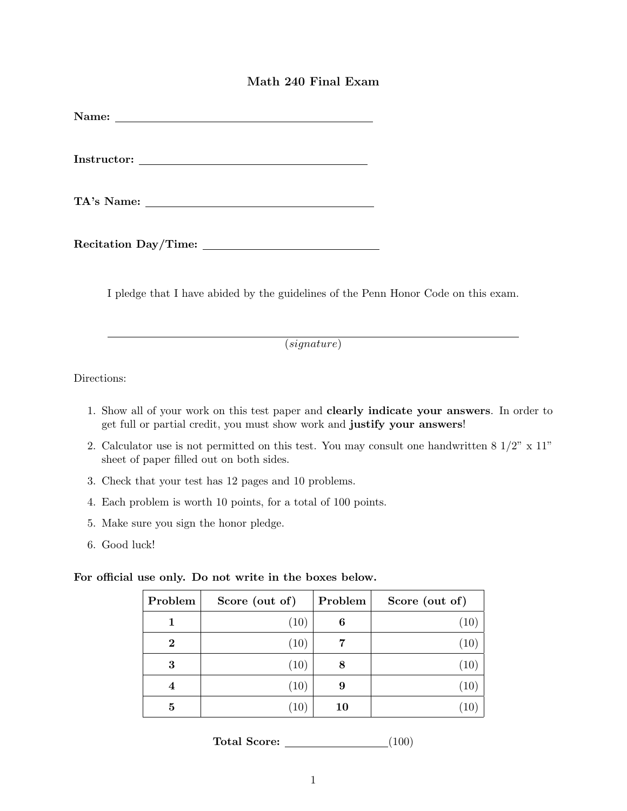## Math 240 Final Exam

Instructor: The contract of the contract of the contract of the contract of the contract of the contract of the contract of the contract of the contract of the contract of the contract of the contract of the contract of th

TA's Name:

Recitation Day/Time:

I pledge that I have abided by the guidelines of the Penn Honor Code on this exam.

(signature)

Directions:

- 1. Show all of your work on this test paper and clearly indicate your answers. In order to get full or partial credit, you must show work and justify your answers!
- 2. Calculator use is not permitted on this test. You may consult one handwritten  $8\frac{1}{2}$ " x  $11$ " sheet of paper filled out on both sides.
- 3. Check that your test has 12 pages and 10 problems.
- 4. Each problem is worth 10 points, for a total of 100 points.
- 5. Make sure you sign the honor pledge.
- 6. Good luck!

For official use only. Do not write in the boxes below.

| Problem  | Score (out of)    | Problem | Score (out of)    |
|----------|-------------------|---------|-------------------|
|          | (10)              | 6       | (10)              |
| $\bf{2}$ | (10)              | 7       | (10)              |
| 3        | (10)              | 8       | (10)              |
| 4        | (10)              | 9       | (10)              |
| 5        | $\left(10\right)$ | 10      | $\left(10\right)$ |

Total Score: (100)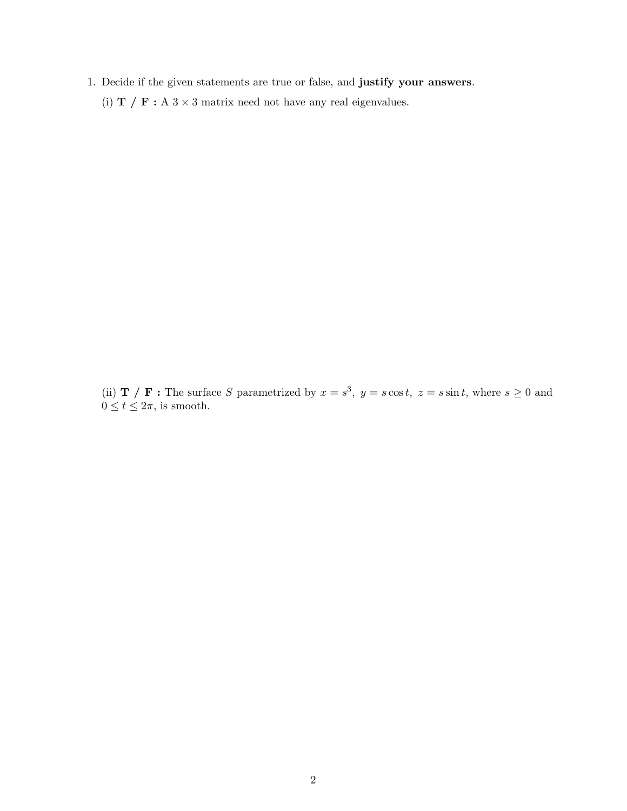- 1. Decide if the given statements are true or false, and justify your answers.
	- (i) **T** / **F** : A 3  $\times$  3 matrix need not have any real eigenvalues.

(ii) **T** / **F**: The surface S parametrized by  $x = s^3$ ,  $y = s \cos t$ ,  $z = s \sin t$ , where  $s \ge 0$  and  $0 \le t \le 2\pi$ , is smooth.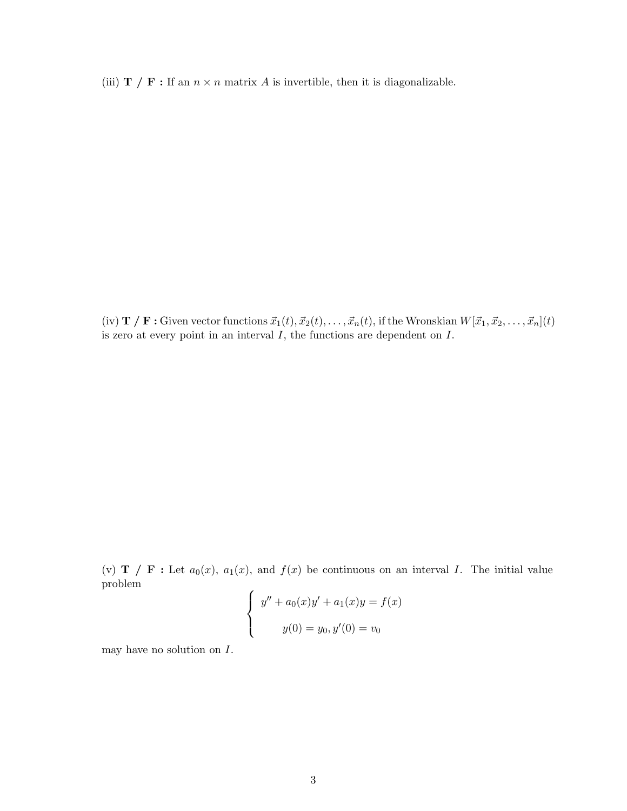(iii) **T** / **F** : If an  $n \times n$  matrix A is invertible, then it is diagonalizable.

(iv)  $\mathbf{T}$  /  $\mathbf{F}$ : Given vector functions  $\vec{x}_1(t), \vec{x}_2(t), \ldots, \vec{x}_n(t)$ , if the Wronskian  $W[\vec{x}_1, \vec{x}_2, \ldots, \vec{x}_n](t)$ is zero at every point in an interval  $I$ , the functions are dependent on  $I$ .

(v) **T** / **F** : Let  $a_0(x)$ ,  $a_1(x)$ , and  $f(x)$  be continuous on an interval I. The initial value problem

$$
\begin{cases}\ny'' + a_0(x)y' + a_1(x)y = f(x) \\
y(0) = y_0, y'(0) = v_0\n\end{cases}
$$

may have no solution on  $I$ .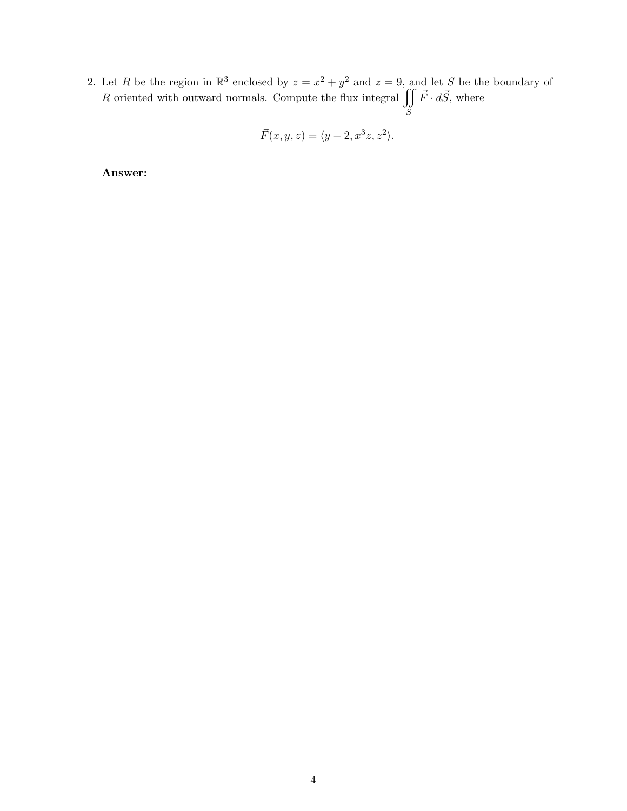2. Let R be the region in  $\mathbb{R}^3$  enclosed by  $z = x^2 + y^2$  and  $z = 9$ , and let S be the boundary of R oriented with outward normals. Compute the flux integral  $\iiint$ S  $\vec{F} \cdot d\vec{S}$ , where

$$
\vec{F}(x, y, z) = \langle y - 2, x^3 z, z^2 \rangle.
$$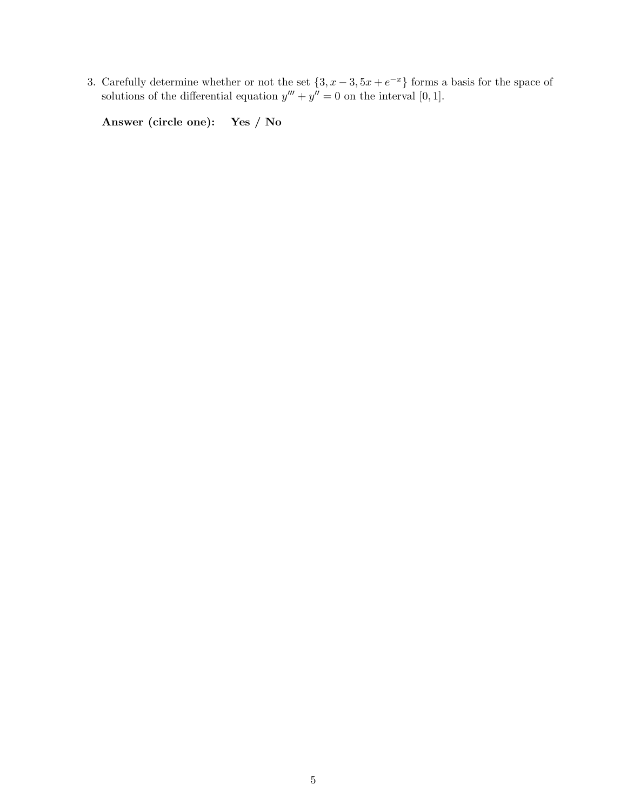3. Carefully determine whether or not the set  $\{3, x-3, 5x+e^{-x}\}\)$  forms a basis for the space of solutions of the differential equation  $y''' + y'' = 0$  on the interval [0, 1].

Answer (circle one): Yes / No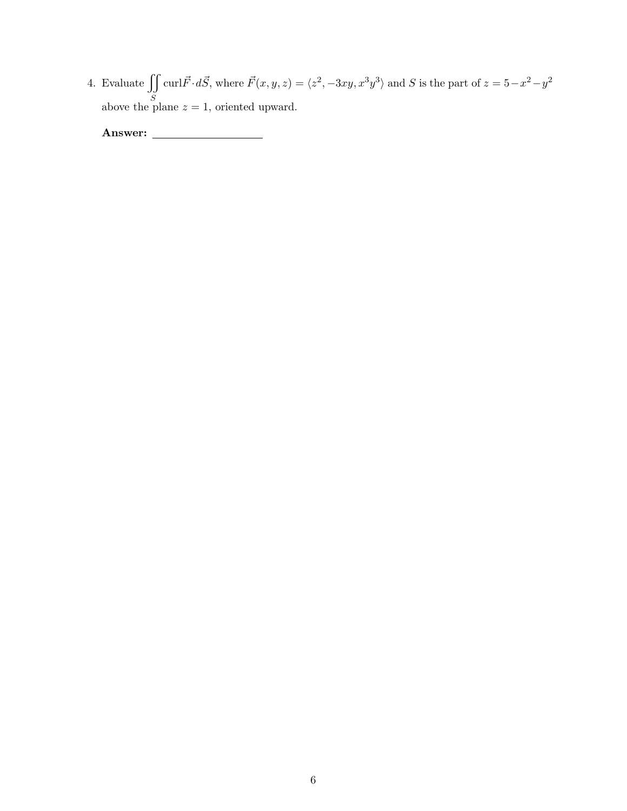4. Evaluate  $\iint$ S curl $\vec{F} \cdot d\vec{S}$ , where  $\vec{F}(x, y, z) = \langle z^2, -3xy, x^3y^3 \rangle$  and S is the part of  $z = 5-x^2-y^2$ above the plane  $z = 1$ , oriented upward.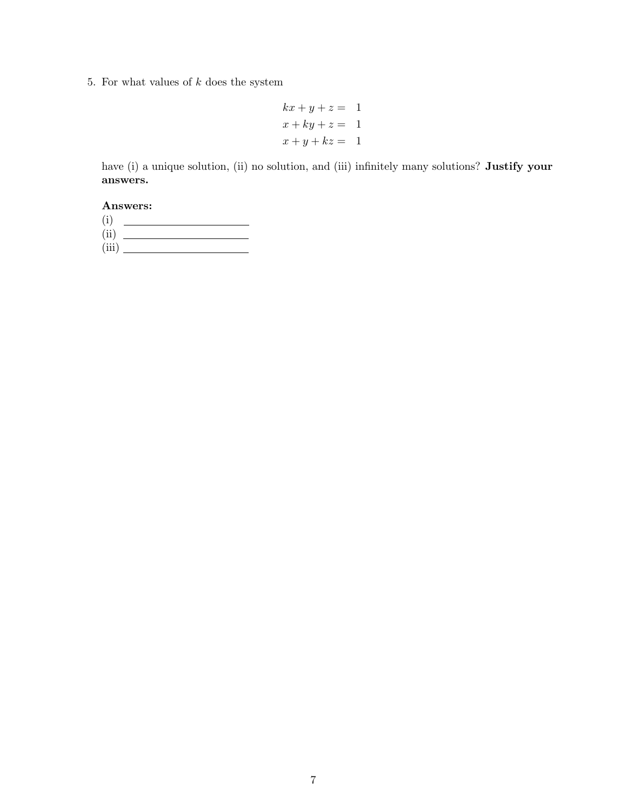5. For what values of  $k$  does the system

$$
kx + y + z = 1
$$
  

$$
x + ky + z = 1
$$
  

$$
x + y + kz = 1
$$

have (i) a unique solution, (ii) no solution, and (iii) infinitely many solutions? Justify your answers.

Answers:

(i) (ii) (iii)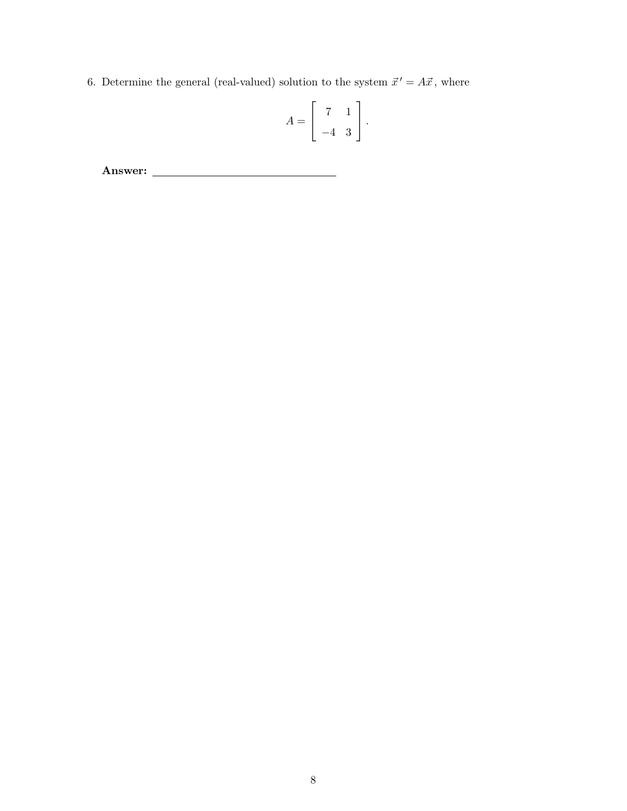6. Determine the general (real-valued) solution to the system  $\vec{x}' = A\vec{x}$ , where

$$
A = \left[ \begin{array}{rr} 7 & 1 \\ -4 & 3 \end{array} \right].
$$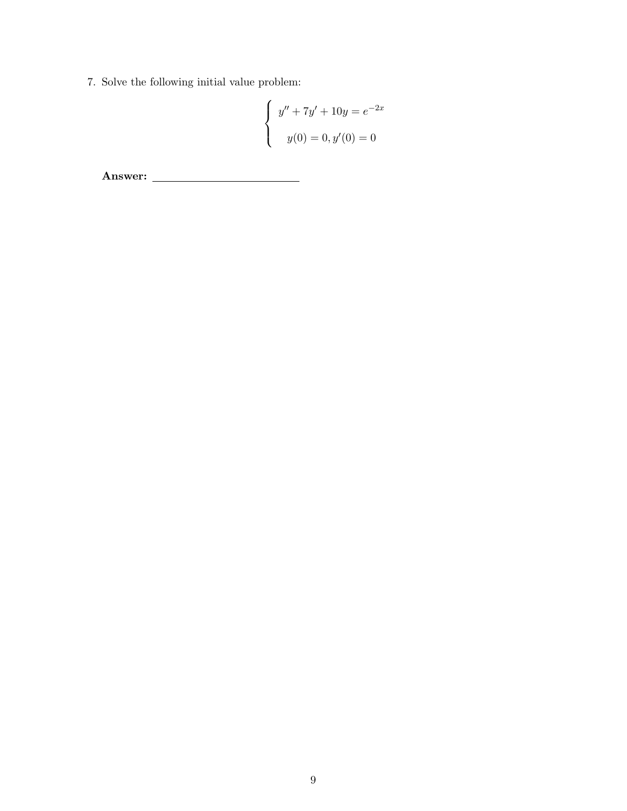7. Solve the following initial value problem:

$$
\begin{cases}\ny'' + 7y' + 10y = e^{-2x} \\
y(0) = 0, y'(0) = 0\n\end{cases}
$$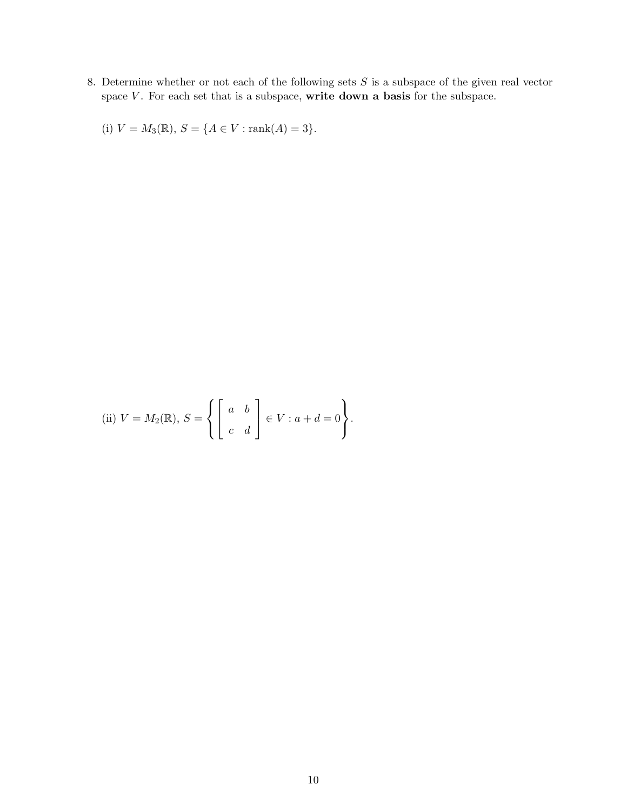8. Determine whether or not each of the following sets  $S$  is a subspace of the given real vector space  $V$ . For each set that is a subspace, write down a basis for the subspace.

(i)  $V = M_3(\mathbb{R}), S = \{A \in V : \text{rank}(A) = 3\}.$ 

(ii) 
$$
V = M_2(\mathbb{R}), S = \left\{ \begin{bmatrix} a & b \\ c & d \end{bmatrix} \in V : a + d = 0 \right\}.
$$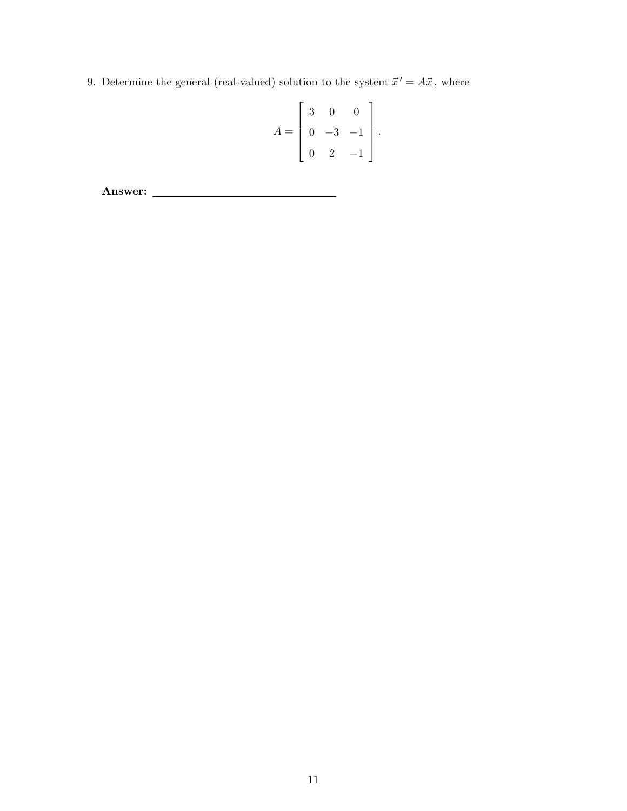9. Determine the general (real-valued) solution to the system  $\vec{x}' = A\vec{x}$ , where

$$
A = \begin{bmatrix} 3 & 0 & 0 \\ 0 & -3 & -1 \\ 0 & 2 & -1 \end{bmatrix}
$$

.